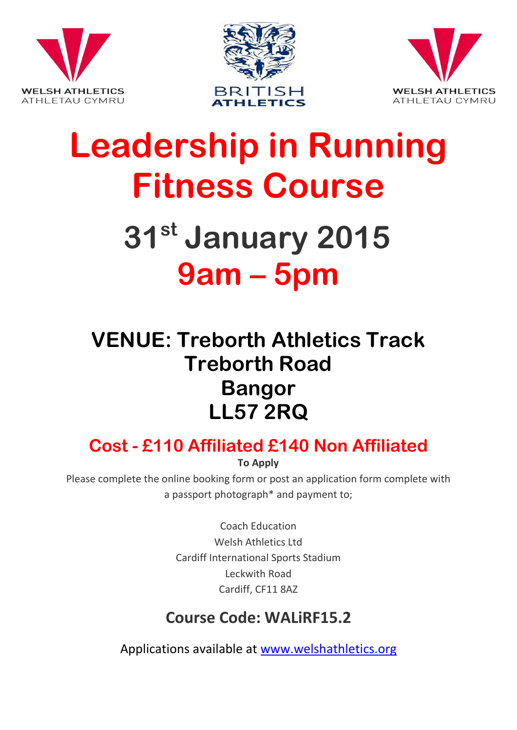





# **Leadership in Running Fitness Course**

# **31st January 2015 9am – 5pm**

## **VENUE: Treborth Athletics Track Treborth Road Bangor LL57 2RQ**

### **Cost - £110 Affiliated £140 Non Affiliated**

**To Apply**

Please complete the online booking form or post an application form complete with a passport photograph\* and payment to;

> Coach Education Welsh Athletics Ltd Cardiff International Sports Stadium Leckwith Road Cardiff, CF11 8AZ

### **Course Code: WALiRF15.2**

Applications available at [www.welshathletics.org](http://www.welshathletics.org/)